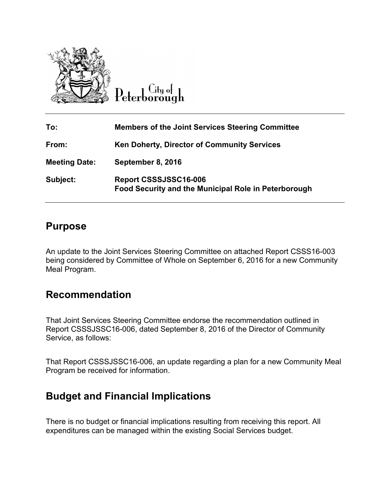

 $\overline{C}$ ity of Peterborough

| To:                  | <b>Members of the Joint Services Steering Committee</b>                       |
|----------------------|-------------------------------------------------------------------------------|
| From:                | <b>Ken Doherty, Director of Community Services</b>                            |
| <b>Meeting Date:</b> | September 8, 2016                                                             |
| Subject:             | Report CSSSJSSC16-006<br>Food Security and the Municipal Role in Peterborough |

## **Purpose**

An update to the Joint Services Steering Committee on attached Report CSSS16-003 being considered by Committee of Whole on September 6, 2016 for a new Community Meal Program.

## **Recommendation**

That Joint Services Steering Committee endorse the recommendation outlined in Report CSSSJSSC16-006, dated September 8, 2016 of the Director of Community Service, as follows:

That Report CSSSJSSC16-006, an update regarding a plan for a new Community Meal Program be received for information.

## **Budget and Financial Implications**

There is no budget or financial implications resulting from receiving this report. All expenditures can be managed within the existing Social Services budget.